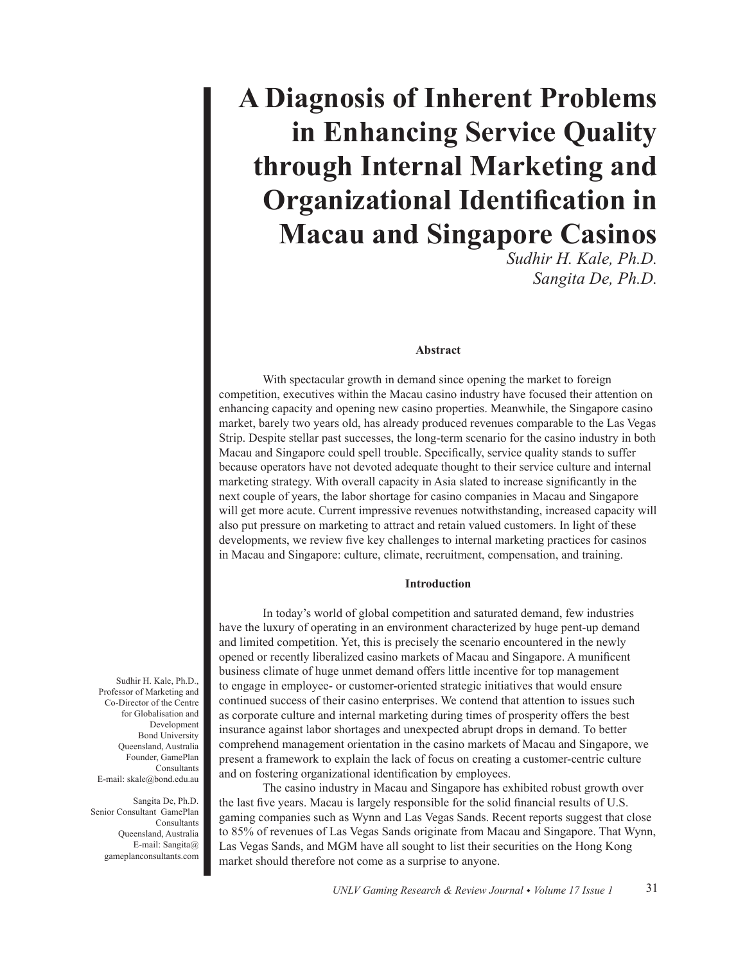# **A Diagnosis of Inherent Problems in Enhancing Service Quality through Internal Marketing and Organizational Identification in Macau and Singapore Casinos**

*Sudhir H. Kale, Ph.D. Sangita De, Ph.D.* 

## **Abstract**

With spectacular growth in demand since opening the market to foreign competition, executives within the Macau casino industry have focused their attention on enhancing capacity and opening new casino properties. Meanwhile, the Singapore casino market, barely two years old, has already produced revenues comparable to the Las Vegas Strip. Despite stellar past successes, the long-term scenario for the casino industry in both Macau and Singapore could spell trouble. Specifically, service quality stands to suffer because operators have not devoted adequate thought to their service culture and internal marketing strategy. With overall capacity in Asia slated to increase significantly in the next couple of years, the labor shortage for casino companies in Macau and Singapore will get more acute. Current impressive revenues notwithstanding, increased capacity will also put pressure on marketing to attract and retain valued customers. In light of these developments, we review five key challenges to internal marketing practices for casinos in Macau and Singapore: culture, climate, recruitment, compensation, and training.

#### **Introduction**

In today's world of global competition and saturated demand, few industries have the luxury of operating in an environment characterized by huge pent-up demand and limited competition. Yet, this is precisely the scenario encountered in the newly opened or recently liberalized casino markets of Macau and Singapore. A munificent business climate of huge unmet demand offers little incentive for top management to engage in employee- or customer-oriented strategic initiatives that would ensure continued success of their casino enterprises. We contend that attention to issues such as corporate culture and internal marketing during times of prosperity offers the best insurance against labor shortages and unexpected abrupt drops in demand. To better comprehend management orientation in the casino markets of Macau and Singapore, we present a framework to explain the lack of focus on creating a customer-centric culture and on fostering organizational identification by employees.

The casino industry in Macau and Singapore has exhibited robust growth over the last five years. Macau is largely responsible for the solid financial results of U.S. gaming companies such as Wynn and Las Vegas Sands. Recent reports suggest that close to 85% of revenues of Las Vegas Sands originate from Macau and Singapore. That Wynn, Las Vegas Sands, and MGM have all sought to list their securities on the Hong Kong market should therefore not come as a surprise to anyone.

Sudhir H. Kale, Ph.D., Professor of Marketing and Co-Director of the Centre for Globalisation and Development Bond University Queensland, Australia Founder, GamePlan Consultants E-mail: skale@bond.edu.au

Sangita De, Ph.D. Senior Consultant GamePlan **Consultants** Queensland, Australia E-mail: Sangita@ gameplanconsultants.com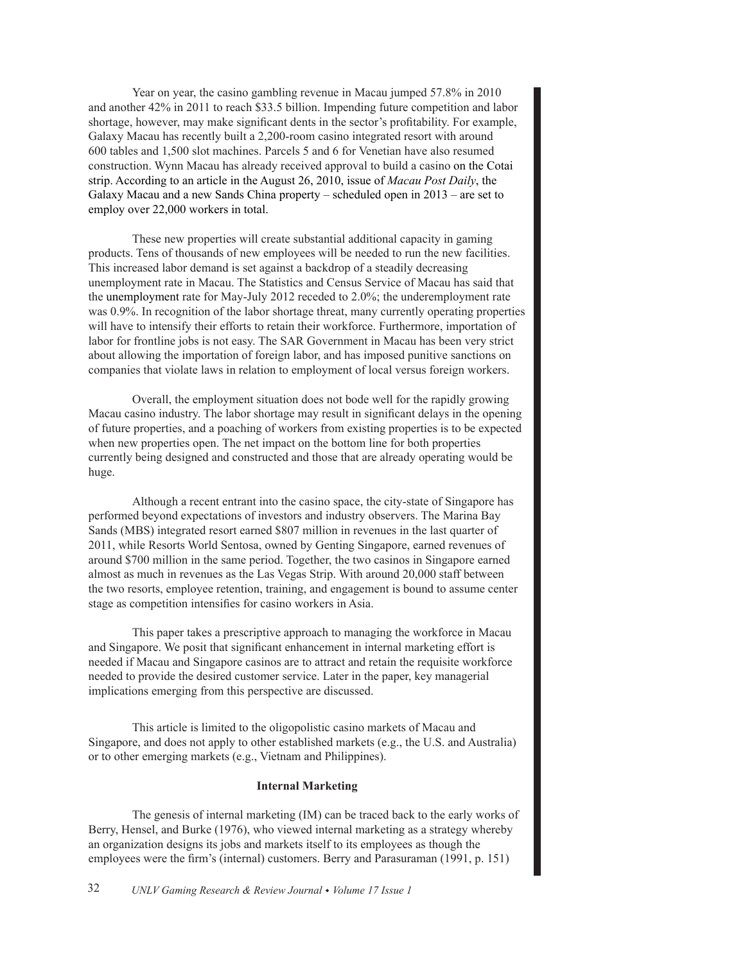Year on year, the casino gambling revenue in Macau jumped 57.8% in 2010 and another 42% in 2011 to reach \$33.5 billion. Impending future competition and labor shortage, however, may make significant dents in the sector's profitability. For example, Galaxy Macau has recently built a 2,200-room casino integrated resort with around 600 tables and 1,500 slot machines. Parcels 5 and 6 for Venetian have also resumed construction. Wynn Macau has already received approval to build a casino on the Cotai strip. According to an article in the August 26, 2010, issue of *Macau Post Daily*, the Galaxy Macau and a new Sands China property – scheduled open in 2013 – are set to employ over 22,000 workers in total.

These new properties will create substantial additional capacity in gaming products. Tens of thousands of new employees will be needed to run the new facilities. This increased labor demand is set against a backdrop of a steadily decreasing unemployment rate in Macau. The Statistics and Census Service of Macau has said that the unemployment rate for May-July 2012 receded to 2.0%; the underemployment rate was 0.9%. In recognition of the labor shortage threat, many currently operating properties will have to intensify their efforts to retain their workforce. Furthermore, importation of labor for frontline jobs is not easy. The SAR Government in Macau has been very strict about allowing the importation of foreign labor, and has imposed punitive sanctions on companies that violate laws in relation to employment of local versus foreign workers.

Overall, the employment situation does not bode well for the rapidly growing Macau casino industry. The labor shortage may result in significant delays in the opening of future properties, and a poaching of workers from existing properties is to be expected when new properties open. The net impact on the bottom line for both properties currently being designed and constructed and those that are already operating would be huge.

Although a recent entrant into the casino space, the city-state of Singapore has performed beyond expectations of investors and industry observers. The Marina Bay Sands (MBS) integrated resort earned \$807 million in revenues in the last quarter of 2011, while Resorts World Sentosa, owned by Genting Singapore, earned revenues of around \$700 million in the same period. Together, the two casinos in Singapore earned almost as much in revenues as the Las Vegas Strip. With around 20,000 staff between the two resorts, employee retention, training, and engagement is bound to assume center stage as competition intensifies for casino workers in Asia.

This paper takes a prescriptive approach to managing the workforce in Macau and Singapore. We posit that significant enhancement in internal marketing effort is needed if Macau and Singapore casinos are to attract and retain the requisite workforce needed to provide the desired customer service. Later in the paper, key managerial implications emerging from this perspective are discussed.

This article is limited to the oligopolistic casino markets of Macau and Singapore, and does not apply to other established markets (e.g., the U.S. and Australia) or to other emerging markets (e.g., Vietnam and Philippines).

# **Internal Marketing**

The genesis of internal marketing (IM) can be traced back to the early works of Berry, Hensel, and Burke (1976), who viewed internal marketing as a strategy whereby an organization designs its jobs and markets itself to its employees as though the employees were the firm's (internal) customers. Berry and Parasuraman (1991, p. 151)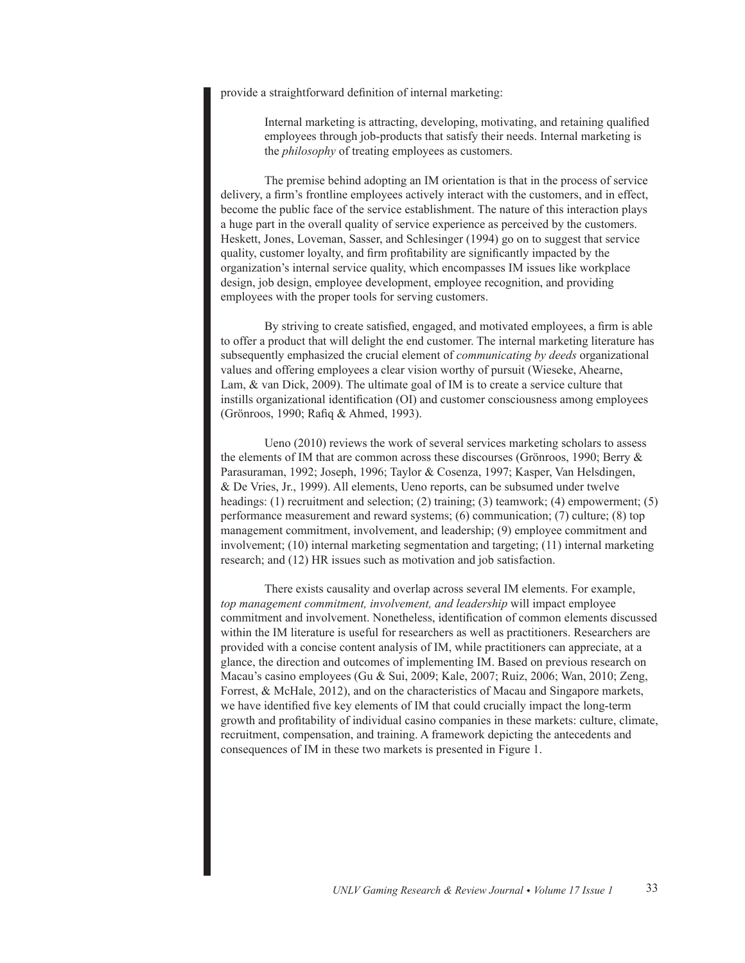provide a straightforward definition of internal marketing:

Internal marketing is attracting, developing, motivating, and retaining qualified employees through job-products that satisfy their needs. Internal marketing is the *philosophy* of treating employees as customers.

The premise behind adopting an IM orientation is that in the process of service delivery, a firm's frontline employees actively interact with the customers, and in effect, become the public face of the service establishment. The nature of this interaction plays a huge part in the overall quality of service experience as perceived by the customers. Heskett, Jones, Loveman, Sasser, and Schlesinger (1994) go on to suggest that service quality, customer loyalty, and firm profitability are significantly impacted by the organization's internal service quality, which encompasses IM issues like workplace design, job design, employee development, employee recognition, and providing employees with the proper tools for serving customers.

By striving to create satisfied, engaged, and motivated employees, a firm is able to offer a product that will delight the end customer. The internal marketing literature has subsequently emphasized the crucial element of *communicating by deeds* organizational values and offering employees a clear vision worthy of pursuit (Wieseke, Ahearne, Lam, & van Dick, 2009). The ultimate goal of IM is to create a service culture that instills organizational identification (OI) and customer consciousness among employees (Grönroos, 1990; Rafiq & Ahmed, 1993).

Ueno (2010) reviews the work of several services marketing scholars to assess the elements of IM that are common across these discourses (Grönroos, 1990; Berry & Parasuraman, 1992; Joseph, 1996; Taylor & Cosenza, 1997; Kasper, Van Helsdingen, & De Vries, Jr., 1999). All elements, Ueno reports, can be subsumed under twelve headings: (1) recruitment and selection; (2) training; (3) teamwork; (4) empowerment; (5) performance measurement and reward systems; (6) communication; (7) culture; (8) top management commitment, involvement, and leadership; (9) employee commitment and involvement; (10) internal marketing segmentation and targeting; (11) internal marketing research; and (12) HR issues such as motivation and job satisfaction.

There exists causality and overlap across several IM elements. For example, *top management commitment, involvement, and leadership* will impact employee commitment and involvement. Nonetheless, identification of common elements discussed within the IM literature is useful for researchers as well as practitioners. Researchers are provided with a concise content analysis of IM, while practitioners can appreciate, at a glance, the direction and outcomes of implementing IM. Based on previous research on Macau's casino employees (Gu & Sui, 2009; Kale, 2007; Ruiz, 2006; Wan, 2010; Zeng, Forrest, & McHale, 2012), and on the characteristics of Macau and Singapore markets, we have identified five key elements of IM that could crucially impact the long-term growth and profitability of individual casino companies in these markets: culture, climate, recruitment, compensation, and training. A framework depicting the antecedents and consequences of IM in these two markets is presented in Figure 1.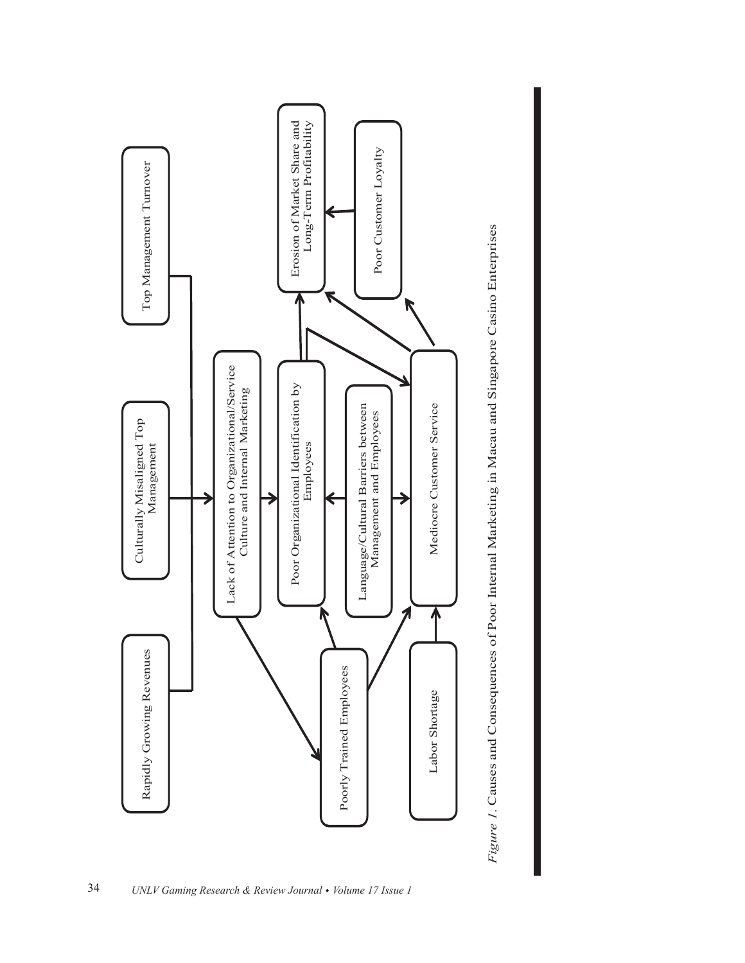

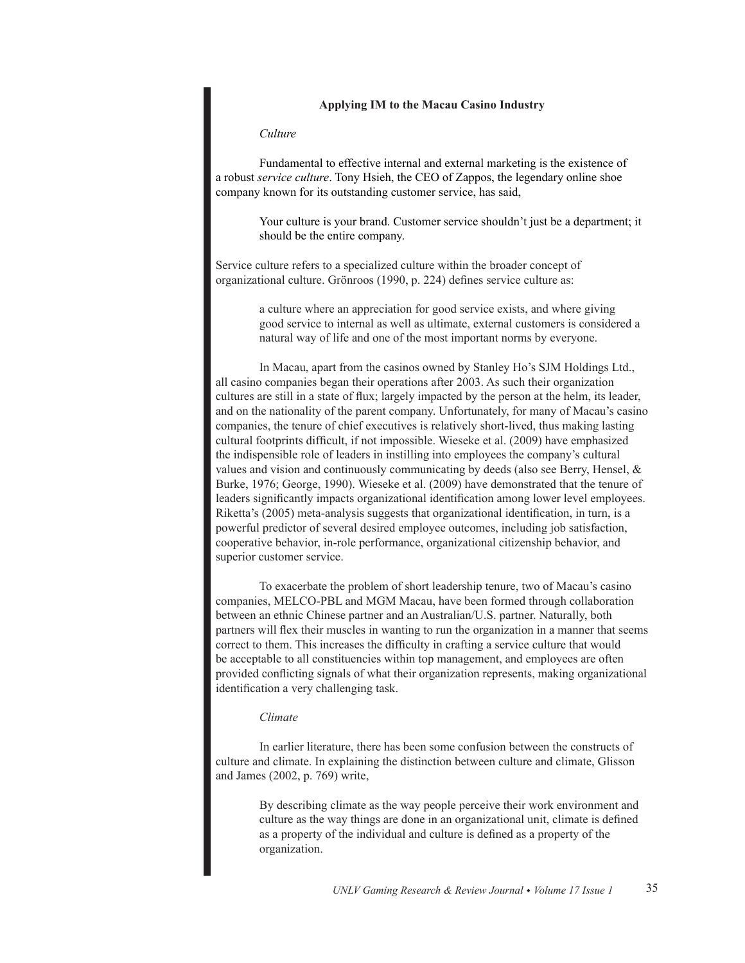# **Applying IM to the Macau Casino Industry**

## *Culture*

Fundamental to effective internal and external marketing is the existence of a robust *service culture*. Tony Hsieh, the CEO of Zappos, the legendary online shoe company known for its outstanding customer service, has said,

> Your culture is your brand. Customer service shouldn't just be a department; it should be the entire company.

Service culture refers to a specialized culture within the broader concept of organizational culture. Grönroos (1990, p. 224) defines service culture as:

> a culture where an appreciation for good service exists, and where giving good service to internal as well as ultimate, external customers is considered a natural way of life and one of the most important norms by everyone.

In Macau, apart from the casinos owned by Stanley Ho's SJM Holdings Ltd., all casino companies began their operations after 2003. As such their organization cultures are still in a state of flux; largely impacted by the person at the helm, its leader, and on the nationality of the parent company. Unfortunately, for many of Macau's casino companies, the tenure of chief executives is relatively short-lived, thus making lasting cultural footprints difficult, if not impossible. Wieseke et al. (2009) have emphasized the indispensible role of leaders in instilling into employees the company's cultural values and vision and continuously communicating by deeds (also see Berry, Hensel, & Burke, 1976; George, 1990). Wieseke et al. (2009) have demonstrated that the tenure of leaders significantly impacts organizational identification among lower level employees. Riketta's (2005) meta-analysis suggests that organizational identification, in turn, is a powerful predictor of several desired employee outcomes, including job satisfaction, cooperative behavior, in-role performance, organizational citizenship behavior, and superior customer service.

To exacerbate the problem of short leadership tenure, two of Macau's casino companies, MELCO-PBL and MGM Macau, have been formed through collaboration between an ethnic Chinese partner and an Australian/U.S. partner. Naturally, both partners will flex their muscles in wanting to run the organization in a manner that seems correct to them. This increases the difficulty in crafting a service culture that would be acceptable to all constituencies within top management, and employees are often provided conflicting signals of what their organization represents, making organizational identification a very challenging task.

#### *Climate*

In earlier literature, there has been some confusion between the constructs of culture and climate. In explaining the distinction between culture and climate, Glisson and James (2002, p. 769) write,

> By describing climate as the way people perceive their work environment and culture as the way things are done in an organizational unit, climate is defined as a property of the individual and culture is defined as a property of the organization.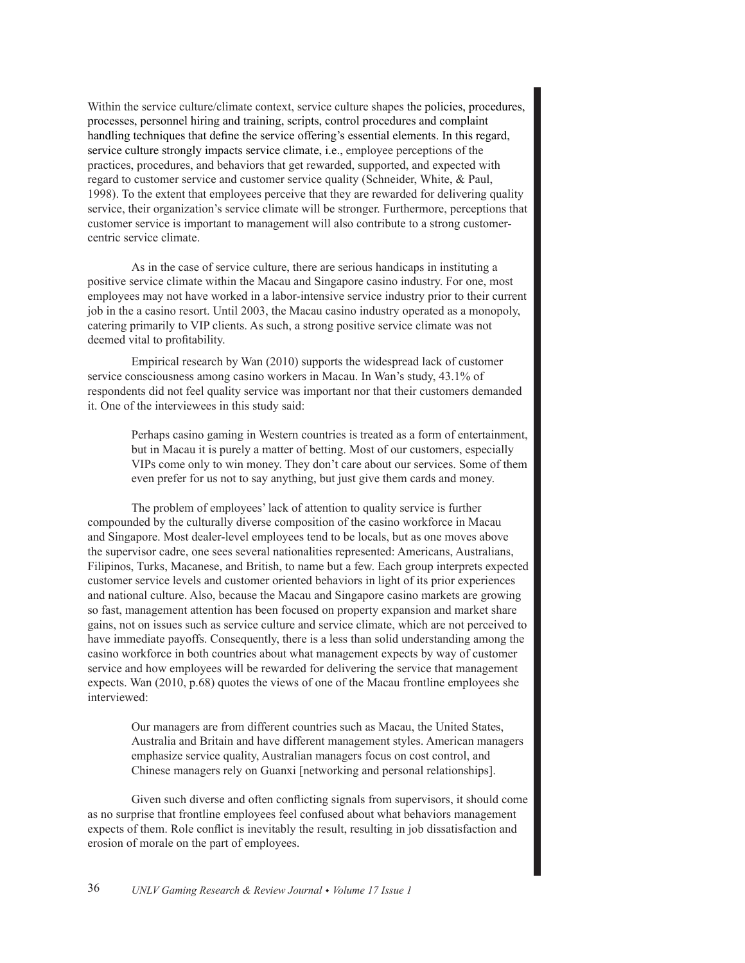Within the service culture/climate context, service culture shapes the policies, procedures, processes, personnel hiring and training, scripts, control procedures and complaint handling techniques that define the service offering's essential elements. In this regard, service culture strongly impacts service climate, i.e., employee perceptions of the practices, procedures, and behaviors that get rewarded, supported, and expected with regard to customer service and customer service quality (Schneider, White, & Paul, 1998). To the extent that employees perceive that they are rewarded for delivering quality service, their organization's service climate will be stronger. Furthermore, perceptions that customer service is important to management will also contribute to a strong customercentric service climate.

As in the case of service culture, there are serious handicaps in instituting a positive service climate within the Macau and Singapore casino industry. For one, most employees may not have worked in a labor-intensive service industry prior to their current job in the a casino resort. Until 2003, the Macau casino industry operated as a monopoly, catering primarily to VIP clients. As such, a strong positive service climate was not deemed vital to profitability.

Empirical research by Wan (2010) supports the widespread lack of customer service consciousness among casino workers in Macau. In Wan's study, 43.1% of respondents did not feel quality service was important nor that their customers demanded it. One of the interviewees in this study said:

Perhaps casino gaming in Western countries is treated as a form of entertainment, but in Macau it is purely a matter of betting. Most of our customers, especially VIPs come only to win money. They don't care about our services. Some of them even prefer for us not to say anything, but just give them cards and money.

The problem of employees' lack of attention to quality service is further compounded by the culturally diverse composition of the casino workforce in Macau and Singapore. Most dealer-level employees tend to be locals, but as one moves above the supervisor cadre, one sees several nationalities represented: Americans, Australians, Filipinos, Turks, Macanese, and British, to name but a few. Each group interprets expected customer service levels and customer oriented behaviors in light of its prior experiences and national culture. Also, because the Macau and Singapore casino markets are growing so fast, management attention has been focused on property expansion and market share gains, not on issues such as service culture and service climate, which are not perceived to have immediate payoffs. Consequently, there is a less than solid understanding among the casino workforce in both countries about what management expects by way of customer service and how employees will be rewarded for delivering the service that management expects. Wan (2010, p.68) quotes the views of one of the Macau frontline employees she interviewed:

Our managers are from different countries such as Macau, the United States, Australia and Britain and have different management styles. American managers emphasize service quality, Australian managers focus on cost control, and Chinese managers rely on Guanxi [networking and personal relationships].

Given such diverse and often conflicting signals from supervisors, it should come as no surprise that frontline employees feel confused about what behaviors management expects of them. Role conflict is inevitably the result, resulting in job dissatisfaction and erosion of morale on the part of employees.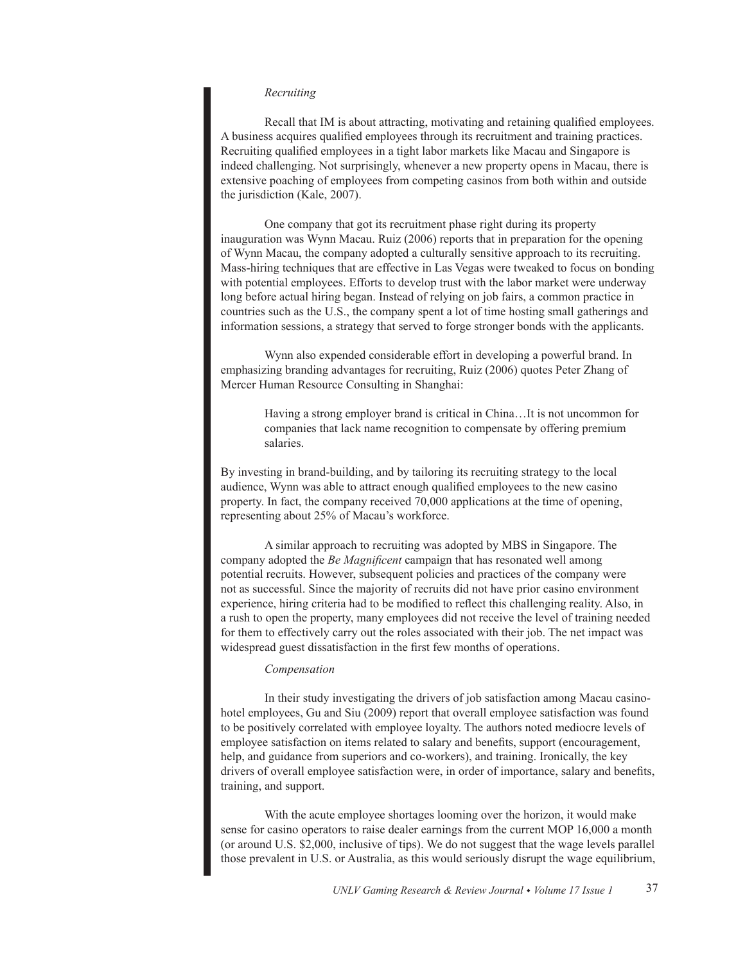## *Recruiting*

Recall that IM is about attracting, motivating and retaining qualified employees. A business acquires qualified employees through its recruitment and training practices. Recruiting qualified employees in a tight labor markets like Macau and Singapore is indeed challenging. Not surprisingly, whenever a new property opens in Macau, there is extensive poaching of employees from competing casinos from both within and outside the jurisdiction (Kale, 2007).

One company that got its recruitment phase right during its property inauguration was Wynn Macau. Ruiz (2006) reports that in preparation for the opening of Wynn Macau, the company adopted a culturally sensitive approach to its recruiting. Mass-hiring techniques that are effective in Las Vegas were tweaked to focus on bonding with potential employees. Efforts to develop trust with the labor market were underway long before actual hiring began. Instead of relying on job fairs, a common practice in countries such as the U.S., the company spent a lot of time hosting small gatherings and information sessions, a strategy that served to forge stronger bonds with the applicants.

Wynn also expended considerable effort in developing a powerful brand. In emphasizing branding advantages for recruiting, Ruiz (2006) quotes Peter Zhang of Mercer Human Resource Consulting in Shanghai:

> Having a strong employer brand is critical in China…It is not uncommon for companies that lack name recognition to compensate by offering premium salaries.

By investing in brand-building, and by tailoring its recruiting strategy to the local audience, Wynn was able to attract enough qualified employees to the new casino property. In fact, the company received 70,000 applications at the time of opening, representing about 25% of Macau's workforce.

A similar approach to recruiting was adopted by MBS in Singapore. The company adopted the *Be Magnificent* campaign that has resonated well among potential recruits. However, subsequent policies and practices of the company were not as successful. Since the majority of recruits did not have prior casino environment experience, hiring criteria had to be modified to reflect this challenging reality. Also, in a rush to open the property, many employees did not receive the level of training needed for them to effectively carry out the roles associated with their job. The net impact was widespread guest dissatisfaction in the first few months of operations.

# *Compensation*

In their study investigating the drivers of job satisfaction among Macau casinohotel employees, Gu and Siu (2009) report that overall employee satisfaction was found to be positively correlated with employee loyalty. The authors noted mediocre levels of employee satisfaction on items related to salary and benefits, support (encouragement, help, and guidance from superiors and co-workers), and training. Ironically, the key drivers of overall employee satisfaction were, in order of importance, salary and benefits, training, and support.

With the acute employee shortages looming over the horizon, it would make sense for casino operators to raise dealer earnings from the current MOP 16,000 a month (or around U.S. \$2,000, inclusive of tips). We do not suggest that the wage levels parallel those prevalent in U.S. or Australia, as this would seriously disrupt the wage equilibrium,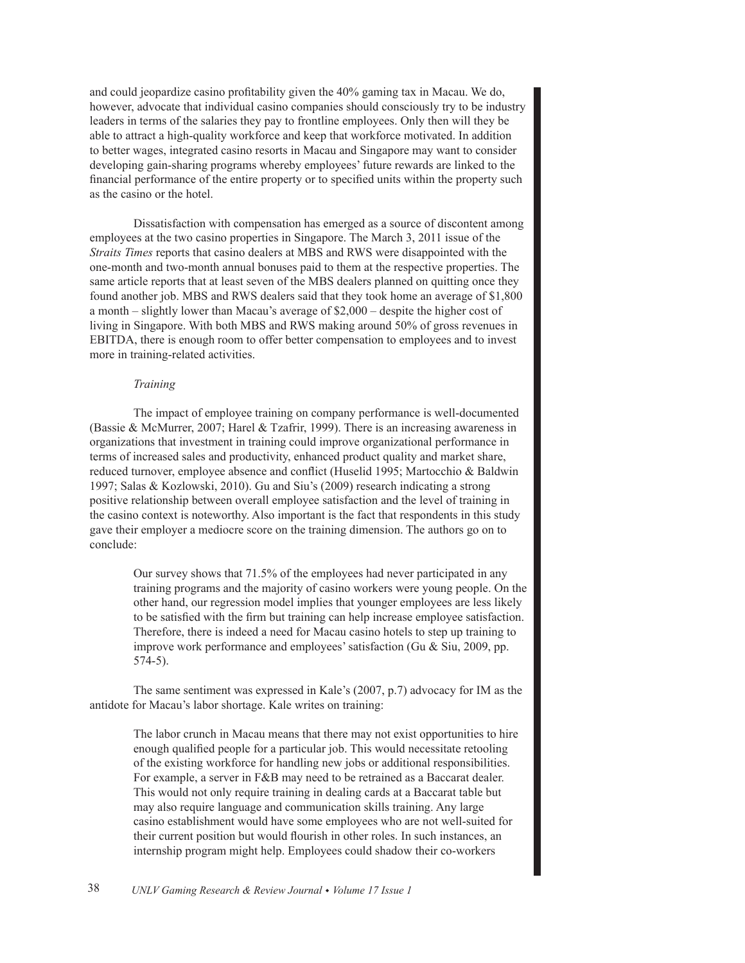and could jeopardize casino profitability given the 40% gaming tax in Macau. We do, however, advocate that individual casino companies should consciously try to be industry leaders in terms of the salaries they pay to frontline employees. Only then will they be able to attract a high-quality workforce and keep that workforce motivated. In addition to better wages, integrated casino resorts in Macau and Singapore may want to consider developing gain-sharing programs whereby employees' future rewards are linked to the financial performance of the entire property or to specified units within the property such as the casino or the hotel.

Dissatisfaction with compensation has emerged as a source of discontent among employees at the two casino properties in Singapore. The March 3, 2011 issue of the *Straits Times* reports that casino dealers at MBS and RWS were disappointed with the one-month and two-month annual bonuses paid to them at the respective properties. The same article reports that at least seven of the MBS dealers planned on quitting once they found another job. MBS and RWS dealers said that they took home an average of \$1,800 a month – slightly lower than Macau's average of \$2,000 – despite the higher cost of living in Singapore. With both MBS and RWS making around 50% of gross revenues in EBITDA, there is enough room to offer better compensation to employees and to invest more in training-related activities.

# *Training*

The impact of employee training on company performance is well-documented (Bassie & McMurrer, 2007; Harel & Tzafrir, 1999). There is an increasing awareness in organizations that investment in training could improve organizational performance in terms of increased sales and productivity, enhanced product quality and market share, reduced turnover, employee absence and conflict (Huselid 1995; Martocchio & Baldwin 1997; Salas & Kozlowski, 2010). Gu and Siu's (2009) research indicating a strong positive relationship between overall employee satisfaction and the level of training in the casino context is noteworthy. Also important is the fact that respondents in this study gave their employer a mediocre score on the training dimension. The authors go on to conclude:

Our survey shows that 71.5% of the employees had never participated in any training programs and the majority of casino workers were young people. On the other hand, our regression model implies that younger employees are less likely to be satisfied with the firm but training can help increase employee satisfaction. Therefore, there is indeed a need for Macau casino hotels to step up training to improve work performance and employees' satisfaction (Gu & Siu, 2009, pp. 574-5).

The same sentiment was expressed in Kale's (2007, p.7) advocacy for IM as the antidote for Macau's labor shortage. Kale writes on training:

The labor crunch in Macau means that there may not exist opportunities to hire enough qualified people for a particular job. This would necessitate retooling of the existing workforce for handling new jobs or additional responsibilities. For example, a server in F&B may need to be retrained as a Baccarat dealer. This would not only require training in dealing cards at a Baccarat table but may also require language and communication skills training. Any large casino establishment would have some employees who are not well-suited for their current position but would flourish in other roles. In such instances, an internship program might help. Employees could shadow their co-workers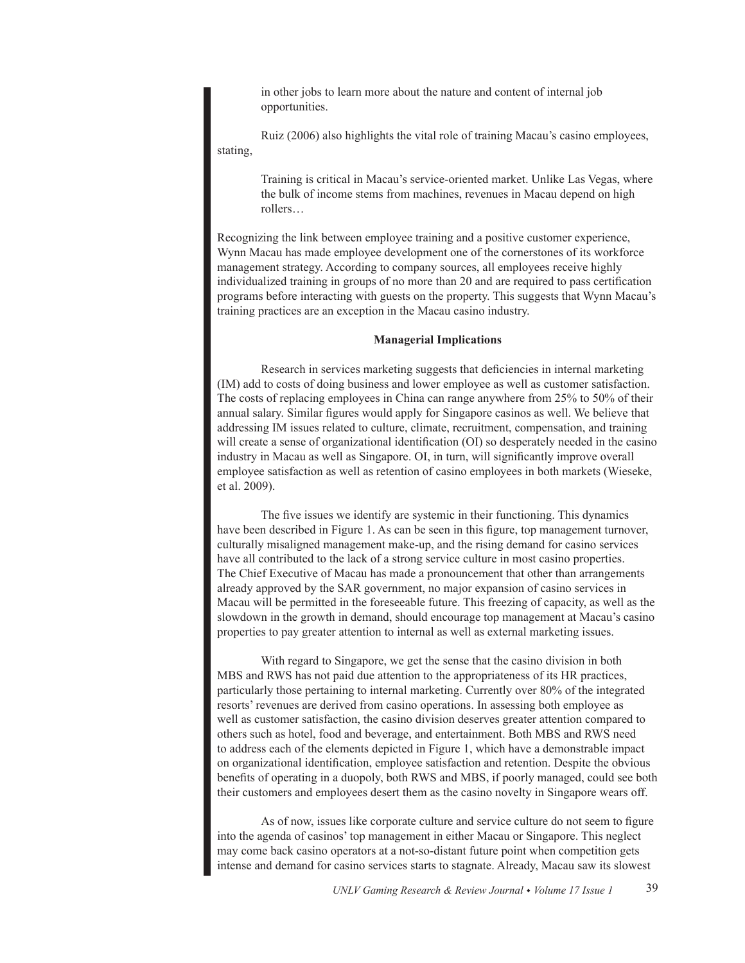in other jobs to learn more about the nature and content of internal job opportunities.

Ruiz (2006) also highlights the vital role of training Macau's casino employees, stating,

> Training is critical in Macau's service-oriented market. Unlike Las Vegas, where the bulk of income stems from machines, revenues in Macau depend on high rollers…

Recognizing the link between employee training and a positive customer experience, Wynn Macau has made employee development one of the cornerstones of its workforce management strategy. According to company sources, all employees receive highly individualized training in groups of no more than 20 and are required to pass certification programs before interacting with guests on the property. This suggests that Wynn Macau's training practices are an exception in the Macau casino industry.

## **Managerial Implications**

Research in services marketing suggests that deficiencies in internal marketing (IM) add to costs of doing business and lower employee as well as customer satisfaction. The costs of replacing employees in China can range anywhere from 25% to 50% of their annual salary. Similar figures would apply for Singapore casinos as well. We believe that addressing IM issues related to culture, climate, recruitment, compensation, and training will create a sense of organizational identification (OI) so desperately needed in the casino industry in Macau as well as Singapore. OI, in turn, will significantly improve overall employee satisfaction as well as retention of casino employees in both markets (Wieseke, et al. 2009).

The five issues we identify are systemic in their functioning. This dynamics have been described in Figure 1. As can be seen in this figure, top management turnover, culturally misaligned management make-up, and the rising demand for casino services have all contributed to the lack of a strong service culture in most casino properties. The Chief Executive of Macau has made a pronouncement that other than arrangements already approved by the SAR government, no major expansion of casino services in Macau will be permitted in the foreseeable future. This freezing of capacity, as well as the slowdown in the growth in demand, should encourage top management at Macau's casino properties to pay greater attention to internal as well as external marketing issues.

With regard to Singapore, we get the sense that the casino division in both MBS and RWS has not paid due attention to the appropriateness of its HR practices, particularly those pertaining to internal marketing. Currently over 80% of the integrated resorts' revenues are derived from casino operations. In assessing both employee as well as customer satisfaction, the casino division deserves greater attention compared to others such as hotel, food and beverage, and entertainment. Both MBS and RWS need to address each of the elements depicted in Figure 1, which have a demonstrable impact on organizational identification, employee satisfaction and retention. Despite the obvious benefits of operating in a duopoly, both RWS and MBS, if poorly managed, could see both their customers and employees desert them as the casino novelty in Singapore wears off.

As of now, issues like corporate culture and service culture do not seem to figure into the agenda of casinos' top management in either Macau or Singapore. This neglect may come back casino operators at a not-so-distant future point when competition gets intense and demand for casino services starts to stagnate. Already, Macau saw its slowest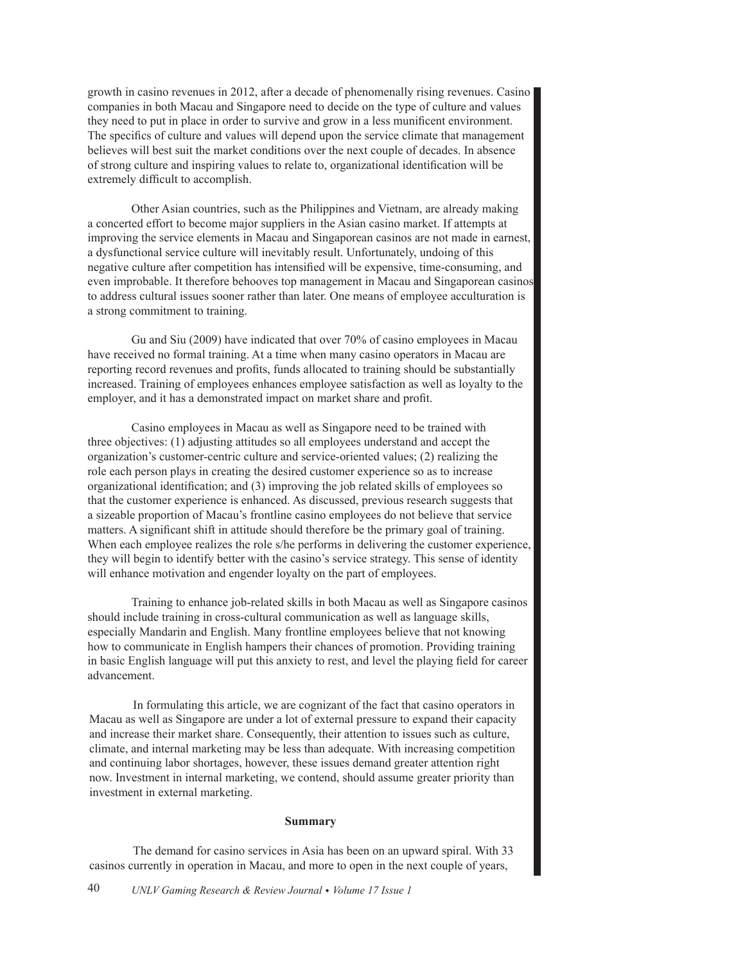growth in casino revenues in 2012, after a decade of phenomenally rising revenues. Casino companies in both Macau and Singapore need to decide on the type of culture and values they need to put in place in order to survive and grow in a less munificent environment. The specifics of culture and values will depend upon the service climate that management believes will best suit the market conditions over the next couple of decades. In absence of strong culture and inspiring values to relate to, organizational identification will be extremely difficult to accomplish.

Other Asian countries, such as the Philippines and Vietnam, are already making a concerted effort to become major suppliers in the Asian casino market. If attempts at improving the service elements in Macau and Singaporean casinos are not made in earnest, a dysfunctional service culture will inevitably result. Unfortunately, undoing of this negative culture after competition has intensified will be expensive, time-consuming, and even improbable. It therefore behooves top management in Macau and Singaporean casinos to address cultural issues sooner rather than later. One means of employee acculturation is a strong commitment to training.

Gu and Siu (2009) have indicated that over 70% of casino employees in Macau have received no formal training. At a time when many casino operators in Macau are reporting record revenues and profits, funds allocated to training should be substantially increased. Training of employees enhances employee satisfaction as well as loyalty to the employer, and it has a demonstrated impact on market share and profit.

Casino employees in Macau as well as Singapore need to be trained with three objectives: (1) adjusting attitudes so all employees understand and accept the organization's customer-centric culture and service-oriented values; (2) realizing the role each person plays in creating the desired customer experience so as to increase organizational identification; and (3) improving the job related skills of employees so that the customer experience is enhanced. As discussed, previous research suggests that a sizeable proportion of Macau's frontline casino employees do not believe that service matters. A significant shift in attitude should therefore be the primary goal of training. When each employee realizes the role s/he performs in delivering the customer experience, they will begin to identify better with the casino's service strategy. This sense of identity will enhance motivation and engender loyalty on the part of employees.

Training to enhance job-related skills in both Macau as well as Singapore casinos should include training in cross-cultural communication as well as language skills, especially Mandarin and English. Many frontline employees believe that not knowing how to communicate in English hampers their chances of promotion. Providing training in basic English language will put this anxiety to rest, and level the playing field for career advancement.

In formulating this article, we are cognizant of the fact that casino operators in Macau as well as Singapore are under a lot of external pressure to expand their capacity and increase their market share. Consequently, their attention to issues such as culture, climate, and internal marketing may be less than adequate. With increasing competition and continuing labor shortages, however, these issues demand greater attention right now. Investment in internal marketing, we contend, should assume greater priority than investment in external marketing.

#### **Summary**

The demand for casino services in Asia has been on an upward spiral. With 33 casinos currently in operation in Macau, and more to open in the next couple of years,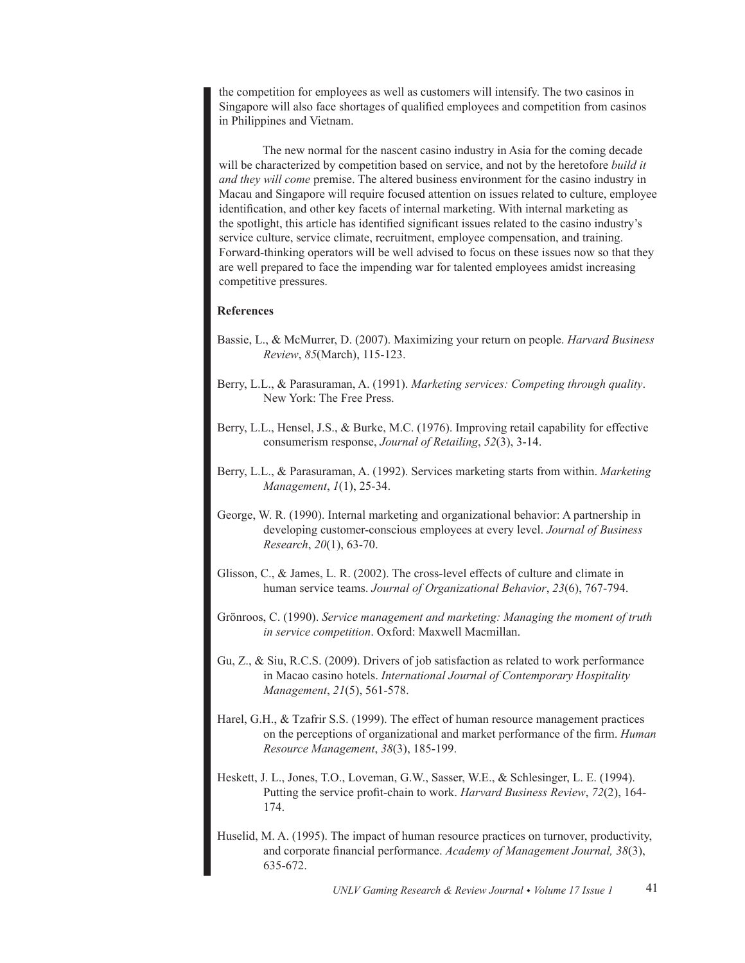the competition for employees as well as customers will intensify. The two casinos in Singapore will also face shortages of qualified employees and competition from casinos in Philippines and Vietnam.

The new normal for the nascent casino industry in Asia for the coming decade will be characterized by competition based on service, and not by the heretofore *build it and they will come* premise. The altered business environment for the casino industry in Macau and Singapore will require focused attention on issues related to culture, employee identification, and other key facets of internal marketing. With internal marketing as the spotlight, this article has identified significant issues related to the casino industry's service culture, service climate, recruitment, employee compensation, and training. Forward-thinking operators will be well advised to focus on these issues now so that they are well prepared to face the impending war for talented employees amidst increasing competitive pressures.

# **References**

- Bassie, L., & McMurrer, D. (2007). Maximizing your return on people. *Harvard Business Review*, *85*(March), 115-123.
- Berry, L.L., & Parasuraman, A. (1991). *Marketing services: Competing through quality*. New York: The Free Press.
- Berry, L.L., Hensel, J.S., & Burke, M.C. (1976). Improving retail capability for effective consumerism response, *Journal of Retailing*, *52*(3), 3-14.
- Berry, L.L., & Parasuraman, A. (1992). Services marketing starts from within. *Marketing Management*, *1*(1), 25-34.
- George, W. R. (1990). Internal marketing and organizational behavior: A partnership in developing customer-conscious employees at every level. *Journal of Business Research*, *20*(1), 63-70.
- Glisson, C., & James, L. R. (2002). The cross-level effects of culture and climate in human service teams. *Journal of Organizational Behavior*, *23*(6), 767-794.
- Grönroos, C. (1990). *Service management and marketing: Managing the moment of truth in service competition*. Oxford: Maxwell Macmillan.
- Gu, Z., & Siu, R.C.S. (2009). Drivers of job satisfaction as related to work performance in Macao casino hotels. *International Journal of Contemporary Hospitality Management*, *21*(5), 561-578.
- Harel, G.H., & Tzafrir S.S. (1999). The effect of human resource management practices on the perceptions of organizational and market performance of the firm. *Human Resource Management*, *38*(3), 185-199.
- Heskett, J. L., Jones, T.O., Loveman, G.W., Sasser, W.E., & Schlesinger, L. E. (1994). Putting the service profit-chain to work. *Harvard Business Review*, *72*(2), 164- 174.
- Huselid, M. A. (1995). The impact of human resource practices on turnover, productivity, and corporate financial performance. *Academy of Management Journal, 38*(3), 635-672.